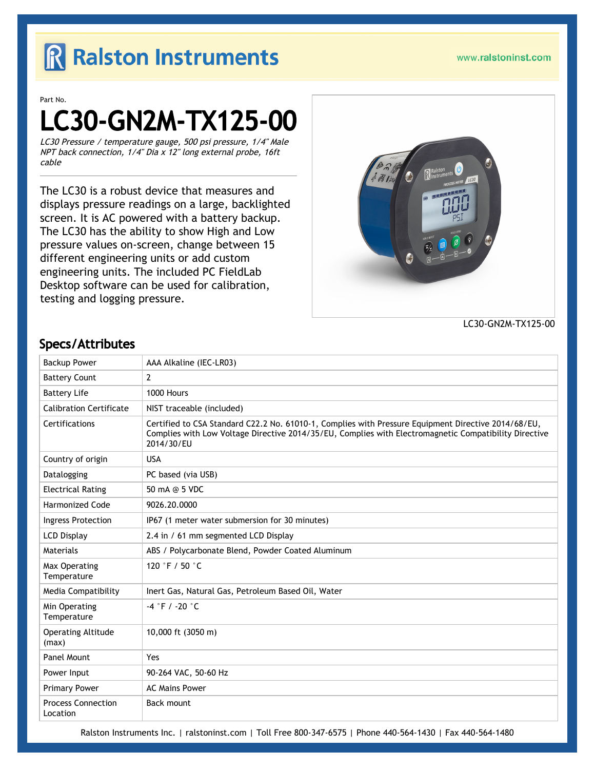## R Ralston Instruments

www.ralstoninst.com

Part No.

# LC30-GN2M-TX125-00

LC30 Pressure / temperature gauge, 500 psi pressure, 1/4" Male NPT back connection, 1/4" Dia x 12" long external probe, 16ft cable

The LC30 is a robust device that measures and displays pressure readings on a large, backlighted screen. It is AC powered with a battery backup. The LC30 has the ability to show High and Low pressure values on-screen, change between 15 different engineering units or add custom engineering units. The included PC FieldLab Desktop software can be used for calibration, testing and logging pressure.



LC30-GN2M-TX125-00

#### Specs/Attributes

| <b>Backup Power</b>                   | AAA Alkaline (IEC-LR03)                                                                                                                                                                                                    |
|---------------------------------------|----------------------------------------------------------------------------------------------------------------------------------------------------------------------------------------------------------------------------|
| <b>Battery Count</b>                  | $\overline{2}$                                                                                                                                                                                                             |
| <b>Battery Life</b>                   | 1000 Hours                                                                                                                                                                                                                 |
| <b>Calibration Certificate</b>        | NIST traceable (included)                                                                                                                                                                                                  |
| Certifications                        | Certified to CSA Standard C22.2 No. 61010-1, Complies with Pressure Equipment Directive 2014/68/EU,<br>Complies with Low Voltage Directive 2014/35/EU, Complies with Electromagnetic Compatibility Directive<br>2014/30/EU |
| Country of origin                     | <b>USA</b>                                                                                                                                                                                                                 |
| Datalogging                           | PC based (via USB)                                                                                                                                                                                                         |
| <b>Electrical Rating</b>              | 50 mA @ 5 VDC                                                                                                                                                                                                              |
| <b>Harmonized Code</b>                | 9026.20.0000                                                                                                                                                                                                               |
| Ingress Protection                    | IP67 (1 meter water submersion for 30 minutes)                                                                                                                                                                             |
| <b>LCD Display</b>                    | 2.4 in / 61 mm segmented LCD Display                                                                                                                                                                                       |
| Materials                             | ABS / Polycarbonate Blend, Powder Coated Aluminum                                                                                                                                                                          |
| Max Operating<br>Temperature          | 120 °F / 50 °C                                                                                                                                                                                                             |
| Media Compatibility                   | Inert Gas, Natural Gas, Petroleum Based Oil, Water                                                                                                                                                                         |
| Min Operating<br>Temperature          | $-4$ °F / -20 °C                                                                                                                                                                                                           |
| <b>Operating Altitude</b><br>(max)    | 10,000 ft (3050 m)                                                                                                                                                                                                         |
| Panel Mount                           | Yes                                                                                                                                                                                                                        |
| Power Input                           | 90-264 VAC, 50-60 Hz                                                                                                                                                                                                       |
| <b>Primary Power</b>                  | <b>AC Mains Power</b>                                                                                                                                                                                                      |
| <b>Process Connection</b><br>Location | Back mount                                                                                                                                                                                                                 |

Ralston Instruments Inc. | [ralstoninst.com](https://www.ralstoninst.com) | Toll Free 800-347-6575 | Phone 440-564-1430 | Fax 440-564-1480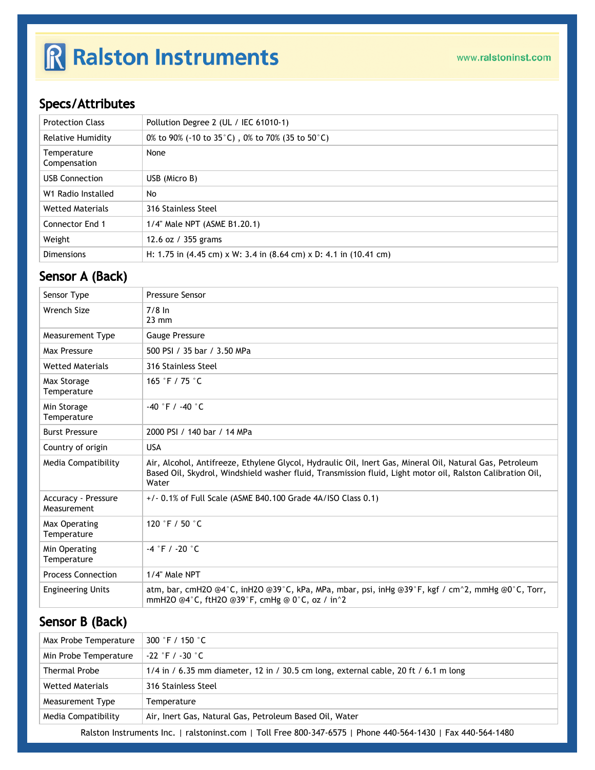# R Ralston Instruments

## Specs/Attributes

| <b>Protection Class</b>     | Pollution Degree 2 (UL / IEC 61010-1)                                                                       |
|-----------------------------|-------------------------------------------------------------------------------------------------------------|
| Relative Humidity           | 0% to 90% (-10 to 35 °C), 0% to 70% (35 to 50 °C)                                                           |
| Temperature<br>Compensation | None                                                                                                        |
| <b>USB Connection</b>       | USB (Micro B)                                                                                               |
| W1 Radio Installed          | No                                                                                                          |
| <b>Wetted Materials</b>     | 316 Stainless Steel                                                                                         |
| Connector End 1             | 1/4" Male NPT (ASME B1.20.1)                                                                                |
| Weight                      | 12.6 oz / 355 grams                                                                                         |
| <b>Dimensions</b>           | H: 1.75 in $(4.45 \text{ cm}) \times W$ : 3.4 in $(8.64 \text{ cm}) \times D$ : 4.1 in $(10.41 \text{ cm})$ |

### Sensor A (Back)

| Sensor Type                               | <b>Pressure Sensor</b>                                                                                                                                                                                                          |
|-------------------------------------------|---------------------------------------------------------------------------------------------------------------------------------------------------------------------------------------------------------------------------------|
| Wrench Size                               | $7/8$ In<br>$23$ mm                                                                                                                                                                                                             |
| <b>Measurement Type</b>                   | Gauge Pressure                                                                                                                                                                                                                  |
| Max Pressure                              | 500 PSI / 35 bar / 3.50 MPa                                                                                                                                                                                                     |
| <b>Wetted Materials</b>                   | 316 Stainless Steel                                                                                                                                                                                                             |
| Max Storage<br>Temperature                | 165 °F / 75 °C                                                                                                                                                                                                                  |
| Min Storage<br>Temperature                | $-40$ °F / $-40$ °C                                                                                                                                                                                                             |
| <b>Burst Pressure</b>                     | 2000 PSI / 140 bar / 14 MPa                                                                                                                                                                                                     |
| Country of origin                         | <b>USA</b>                                                                                                                                                                                                                      |
| Media Compatibility                       | Air, Alcohol, Antifreeze, Ethylene Glycol, Hydraulic Oil, Inert Gas, Mineral Oil, Natural Gas, Petroleum<br>Based Oil, Skydrol, Windshield washer fluid, Transmission fluid, Light motor oil, Ralston Calibration Oil,<br>Water |
| <b>Accuracy - Pressure</b><br>Measurement | $+/-$ 0.1% of Full Scale (ASME B40.100 Grade 4A/ISO Class 0.1)                                                                                                                                                                  |
| Max Operating<br>Temperature              | 120 °F / 50 $^{\circ}$ C                                                                                                                                                                                                        |
| Min Operating<br>Temperature              | $-4$ °F / -20 °C                                                                                                                                                                                                                |
| <b>Process Connection</b>                 | 1/4" Male NPT                                                                                                                                                                                                                   |
| <b>Engineering Units</b>                  | atm, bar, cmH2O @4°C, inH2O @39°C, kPa, MPa, mbar, psi, inHg @39°F, kgf / cm^2, mmHg @0°C, Torr,<br>mmH2O @4 $^{\circ}$ C, ftH2O @39 $^{\circ}$ F, cmHg @ 0 $^{\circ}$ C, oz / in $^{\circ}$ 2                                  |

## Sensor B (Back)

| Max Probe Temperature   | 300 °F / 150 °C                                                                       |
|-------------------------|---------------------------------------------------------------------------------------|
| Min Probe Temperature   | -22 °F / -30 °C                                                                       |
| <b>Thermal Probe</b>    | $1/4$ in / 6.35 mm diameter, 12 in / 30.5 cm long, external cable, 20 ft / 6.1 m long |
| <b>Wetted Materials</b> | 316 Stainless Steel                                                                   |
| Measurement Type        | Temperature                                                                           |
| Media Compatibility     | Air, Inert Gas, Natural Gas, Petroleum Based Oil, Water                               |

Ralston Instruments Inc. | [ralstoninst.com](https://www.ralstoninst.com) | Toll Free 800-347-6575 | Phone 440-564-1430 | Fax 440-564-1480